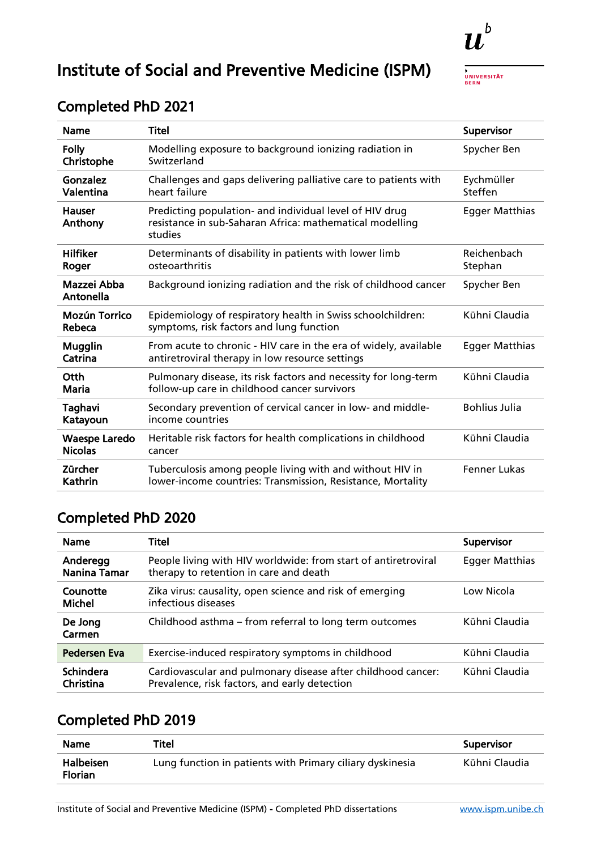

**BERN** 

# Institute of Social and Preventive Medicine (ISPM)

| <b>Name</b>                            | <b>Titel</b>                                                                                                                   | Supervisor             |
|----------------------------------------|--------------------------------------------------------------------------------------------------------------------------------|------------------------|
| <b>Folly</b><br>Christophe             | Modelling exposure to background ionizing radiation in<br>Switzerland                                                          | Spycher Ben            |
| Gonzalez<br>Valentina                  | Challenges and gaps delivering palliative care to patients with<br>heart failure                                               | Eychmüller<br>Steffen  |
| <b>Hauser</b><br>Anthony               | Predicting population- and individual level of HIV drug<br>resistance in sub-Saharan Africa: mathematical modelling<br>studies | <b>Egger Matthias</b>  |
| <b>Hilfiker</b><br>Roger               | Determinants of disability in patients with lower limb<br>osteoarthritis                                                       | Reichenbach<br>Stephan |
| Mazzei Abba<br>Antonella               | Background ionizing radiation and the risk of childhood cancer                                                                 | Spycher Ben            |
| <b>Mozún Torrico</b><br>Rebeca         | Epidemiology of respiratory health in Swiss schoolchildren:<br>symptoms, risk factors and lung function                        | Kühni Claudia          |
| <b>Mugglin</b><br>Catrina              | From acute to chronic - HIV care in the era of widely, available<br>antiretroviral therapy in low resource settings            | <b>Egger Matthias</b>  |
| Otth<br>Maria                          | Pulmonary disease, its risk factors and necessity for long-term<br>follow-up care in childhood cancer survivors                | Kühni Claudia          |
| Taghavi<br>Katayoun                    | Secondary prevention of cervical cancer in low- and middle-<br>income countries                                                | <b>Bohlius Julia</b>   |
| <b>Waespe Laredo</b><br><b>Nicolas</b> | Heritable risk factors for health complications in childhood<br>cancer                                                         | Kühni Claudia          |
| Zürcher<br>Kathrin                     | Tuberculosis among people living with and without HIV in<br>lower-income countries: Transmission, Resistance, Mortality        | Fenner Lukas           |

#### Completed PhD 2021

### Completed PhD 2020

| <b>Name</b>                   | Titel                                                                                                         | Supervisor            |
|-------------------------------|---------------------------------------------------------------------------------------------------------------|-----------------------|
| Anderegg<br>Nanina Tamar      | People living with HIV worldwide: from start of antiretroviral<br>therapy to retention in care and death      | <b>Egger Matthias</b> |
| Counotte<br>Michel            | Zika virus: causality, open science and risk of emerging<br>infectious diseases                               | Low Nicola            |
| De Jong<br>Carmen             | Childhood asthma – from referral to long term outcomes                                                        | Kühni Claudia         |
| Pedersen Eva                  | Exercise-induced respiratory symptoms in childhood                                                            | Kühni Claudia         |
| <b>Schindera</b><br>Christina | Cardiovascular and pulmonary disease after childhood cancer:<br>Prevalence, risk factors, and early detection | Kühni Claudia         |

| <b>Name</b>                        | Titel                                                     | Supervisor    |
|------------------------------------|-----------------------------------------------------------|---------------|
| <b>Halbeisen</b><br><b>Florian</b> | Lung function in patients with Primary ciliary dyskinesia | Kühni Claudia |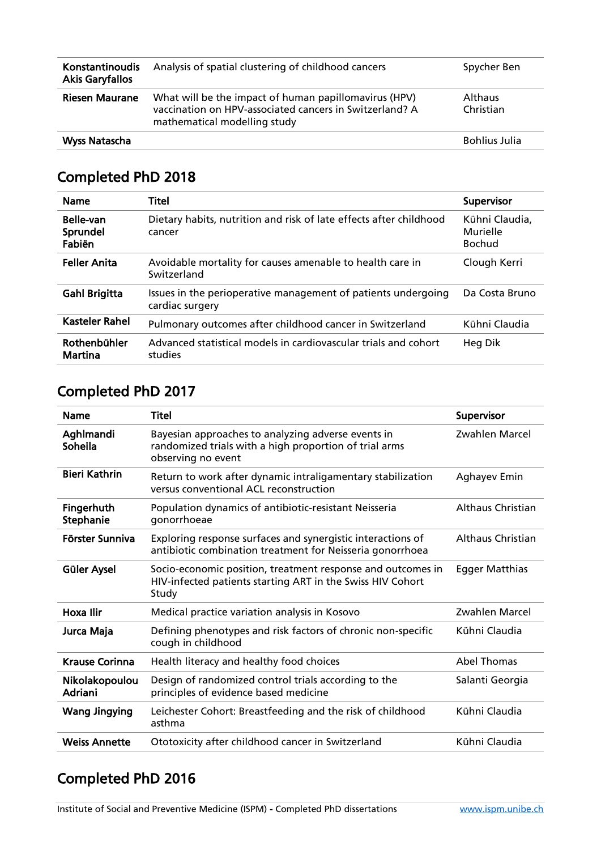| Konstantinoudis<br><b>Akis Garyfallos</b> | Analysis of spatial clustering of childhood cancers                                                                                              | Spycher Ben                 |
|-------------------------------------------|--------------------------------------------------------------------------------------------------------------------------------------------------|-----------------------------|
| <b>Riesen Maurane</b>                     | What will be the impact of human papillomavirus (HPV)<br>vaccination on HPV-associated cancers in Switzerland? A<br>mathematical modelling study | <b>Althaus</b><br>Christian |
| <b>Wyss Natascha</b>                      |                                                                                                                                                  | <b>Bohlius Julia</b>        |

| <b>Name</b>                     | Titel                                                                            | <b>Supervisor</b>                           |
|---------------------------------|----------------------------------------------------------------------------------|---------------------------------------------|
| Belle-van<br>Sprundel<br>Fabiën | Dietary habits, nutrition and risk of late effects after childhood<br>cancer     | Kühni Claudia,<br>Murielle<br><b>Bochud</b> |
| <b>Feller Anita</b>             | Avoidable mortality for causes amenable to health care in<br>Switzerland         | Clough Kerri                                |
| <b>Gahl Brigitta</b>            | Issues in the perioperative management of patients undergoing<br>cardiac surgery | Da Costa Bruno                              |
| <b>Kasteler Rahel</b>           | Pulmonary outcomes after childhood cancer in Switzerland                         | Kühni Claudia                               |
| Rothenbühler<br>Martina         | Advanced statistical models in cardiovascular trials and cohort<br>studies       | Heg Dik                                     |

### Completed PhD 2017

| <b>Name</b>               | <b>Titel</b>                                                                                                                       | Supervisor               |
|---------------------------|------------------------------------------------------------------------------------------------------------------------------------|--------------------------|
| Aghlmandi<br>Soheila      | Bayesian approaches to analyzing adverse events in<br>randomized trials with a high proportion of trial arms<br>observing no event | Zwahlen Marcel           |
| <b>Bieri Kathrin</b>      | Return to work after dynamic intraligamentary stabilization<br>versus conventional ACL reconstruction                              | Aghayev Emin             |
| Fingerhuth<br>Stephanie   | Population dynamics of antibiotic-resistant Neisseria<br>gonorrhoeae                                                               | <b>Althaus Christian</b> |
| Förster Sunniva           | Exploring response surfaces and synergistic interactions of<br>antibiotic combination treatment for Neisseria gonorrhoea           | <b>Althaus Christian</b> |
| Güler Aysel               | Socio-economic position, treatment response and outcomes in<br>HIV-infected patients starting ART in the Swiss HIV Cohort<br>Study | <b>Egger Matthias</b>    |
| Hoxa Ilir                 | Medical practice variation analysis in Kosovo                                                                                      | Zwahlen Marcel           |
| Jurca Maja                | Defining phenotypes and risk factors of chronic non-specific<br>cough in childhood                                                 | Kühni Claudia            |
| <b>Krause Corinna</b>     | Health literacy and healthy food choices                                                                                           | <b>Abel Thomas</b>       |
| Nikolakopoulou<br>Adriani | Design of randomized control trials according to the<br>principles of evidence based medicine                                      | Salanti Georgia          |
| <b>Wang Jingying</b>      | Leichester Cohort: Breastfeeding and the risk of childhood<br>asthma                                                               | Kühni Claudia            |
| <b>Weiss Annette</b>      | Ototoxicity after childhood cancer in Switzerland                                                                                  | Kühni Claudia            |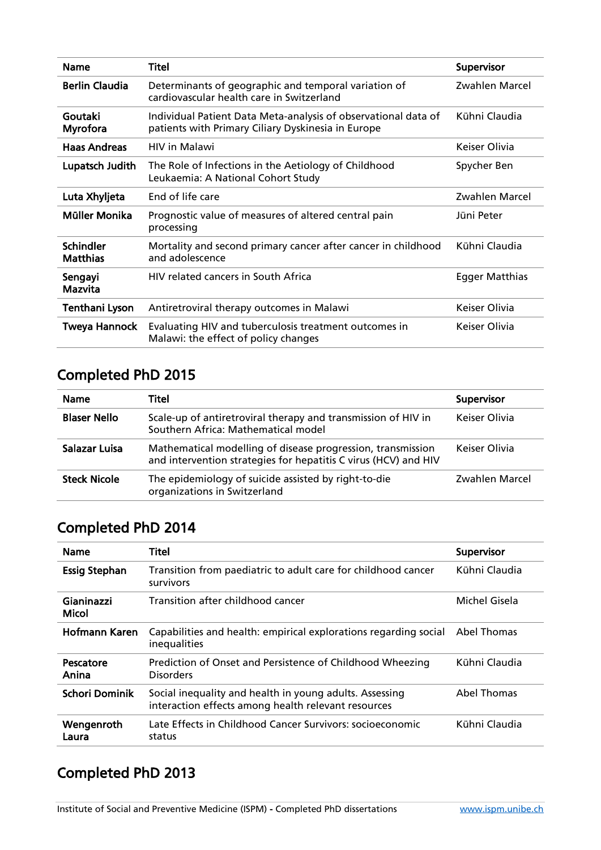| <b>Name</b>                         | <b>Titel</b>                                                                                                         | Supervisor            |
|-------------------------------------|----------------------------------------------------------------------------------------------------------------------|-----------------------|
| <b>Berlin Claudia</b>               | Determinants of geographic and temporal variation of<br>cardiovascular health care in Switzerland                    | Zwahlen Marcel        |
| Goutaki<br>Myrofora                 | Individual Patient Data Meta-analysis of observational data of<br>patients with Primary Ciliary Dyskinesia in Europe | Kühni Claudia         |
| <b>Haas Andreas</b>                 | <b>HIV</b> in Malawi                                                                                                 | Keiser Olivia         |
| Lupatsch Judith                     | The Role of Infections in the Aetiology of Childhood<br>Leukaemia: A National Cohort Study                           | Spycher Ben           |
| Luta Xhyljeta                       | End of life care                                                                                                     | Zwahlen Marcel        |
| Müller Monika                       | Prognostic value of measures of altered central pain<br>processing                                                   | Jüni Peter            |
| <b>Schindler</b><br><b>Matthias</b> | Mortality and second primary cancer after cancer in childhood<br>and adolescence                                     | Kühni Claudia         |
| Sengayi<br>Mazvita                  | HIV related cancers in South Africa                                                                                  | <b>Egger Matthias</b> |
| Tenthani Lyson                      | Antiretroviral therapy outcomes in Malawi                                                                            | Keiser Olivia         |
| <b>Tweya Hannock</b>                | Evaluating HIV and tuberculosis treatment outcomes in<br>Malawi: the effect of policy changes                        | Keiser Olivia         |

| <b>Name</b>         | Titel                                                                                                                          | <b>Supervisor</b> |
|---------------------|--------------------------------------------------------------------------------------------------------------------------------|-------------------|
| <b>Blaser Nello</b> | Scale-up of antiretroviral therapy and transmission of HIV in<br>Southern Africa: Mathematical model                           | Keiser Olivia     |
| Salazar Luisa       | Mathematical modelling of disease progression, transmission<br>and intervention strategies for hepatitis C virus (HCV) and HIV | Keiser Olivia     |
| <b>Steck Nicole</b> | The epidemiology of suicide assisted by right-to-die<br>organizations in Switzerland                                           | Zwahlen Marcel    |

## Completed PhD 2014

| <b>Name</b>                | Titel                                                                                                          | <b>Supervisor</b> |
|----------------------------|----------------------------------------------------------------------------------------------------------------|-------------------|
| <b>Essig Stephan</b>       | Transition from paediatric to adult care for childhood cancer<br>survivors                                     | Kühni Claudia     |
| Gianinazzi<br><b>Micol</b> | Transition after childhood cancer                                                                              | Michel Gisela     |
| Hofmann Karen              | Capabilities and health: empirical explorations regarding social<br>inequalities                               | Abel Thomas       |
| Pescatore<br>Anina         | Prediction of Onset and Persistence of Childhood Wheezing<br><b>Disorders</b>                                  | Kühni Claudia     |
| Schori Dominik             | Social inequality and health in young adults. Assessing<br>interaction effects among health relevant resources | Abel Thomas       |
| Wengenroth<br>Laura        | Late Effects in Childhood Cancer Survivors: socioeconomic<br>status                                            | Kühni Claudia     |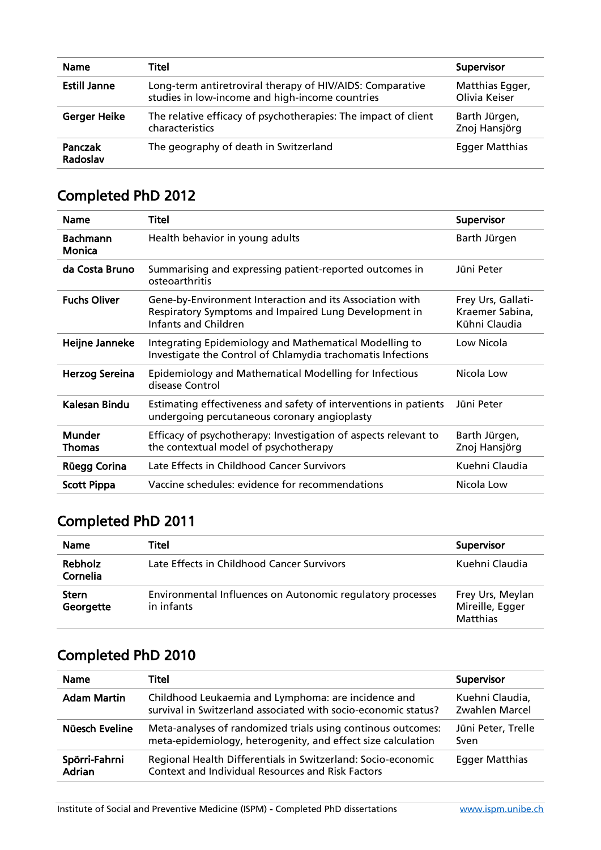| <b>Name</b>         | Titel                                                                                                        | Supervisor                       |
|---------------------|--------------------------------------------------------------------------------------------------------------|----------------------------------|
| <b>Estill Janne</b> | Long-term antiretroviral therapy of HIV/AIDS: Comparative<br>studies in low-income and high-income countries | Matthias Egger,<br>Olivia Keiser |
| <b>Gerger Heike</b> | The relative efficacy of psychotherapies: The impact of client<br>characteristics                            | Barth Jürgen,<br>Znoj Hansjörg   |
| Panczak<br>Radoslav | The geography of death in Switzerland                                                                        | <b>Egger Matthias</b>            |

| <b>Name</b>               | <b>Titel</b>                                                                                                                              | Supervisor                                             |
|---------------------------|-------------------------------------------------------------------------------------------------------------------------------------------|--------------------------------------------------------|
| <b>Bachmann</b><br>Monica | Health behavior in young adults                                                                                                           | Barth Jürgen                                           |
| da Costa Bruno            | Summarising and expressing patient-reported outcomes in<br>osteoarthritis                                                                 | Jüni Peter                                             |
| <b>Fuchs Oliver</b>       | Gene-by-Environment Interaction and its Association with<br>Respiratory Symptoms and Impaired Lung Development in<br>Infants and Children | Frey Urs, Gallati-<br>Kraemer Sabina,<br>Kühni Claudia |
| Heijne Janneke            | Integrating Epidemiology and Mathematical Modelling to<br>Investigate the Control of Chlamydia trachomatis Infections                     | Low Nicola                                             |
| <b>Herzog Sereina</b>     | Epidemiology and Mathematical Modelling for Infectious<br>disease Control                                                                 | Nicola Low                                             |
| Kalesan Bindu             | Estimating effectiveness and safety of interventions in patients<br>undergoing percutaneous coronary angioplasty                          | Jüni Peter                                             |
| <b>Munder</b><br>Thomas   | Efficacy of psychotherapy: Investigation of aspects relevant to<br>the contextual model of psychotherapy                                  | Barth Jürgen,<br>Znoj Hansjörg                         |
| Rüegg Corina              | Late Effects in Childhood Cancer Survivors                                                                                                | Kuehni Claudia                                         |
| <b>Scott Pippa</b>        | Vaccine schedules: evidence for recommendations                                                                                           | Nicola Low                                             |

## Completed PhD 2011

| <b>Name</b>                | Titel                                                                    | Supervisor                                             |
|----------------------------|--------------------------------------------------------------------------|--------------------------------------------------------|
| <b>Rebholz</b><br>Cornelia | Late Effects in Childhood Cancer Survivors                               | Kuehni Claudia                                         |
| <b>Stern</b><br>Georgette  | Environmental Influences on Autonomic regulatory processes<br>in infants | Frey Urs, Meylan<br>Mireille, Egger<br><b>Matthias</b> |

| <b>Name</b>             | Titel                                                                                                                        | Supervisor                        |
|-------------------------|------------------------------------------------------------------------------------------------------------------------------|-----------------------------------|
| <b>Adam Martin</b>      | Childhood Leukaemia and Lymphoma: are incidence and<br>survival in Switzerland associated with socio-economic status?        | Kuehni Claudia,<br>Zwahlen Marcel |
| Nüesch Eveline          | Meta-analyses of randomized trials using continous outcomes:<br>meta-epidemiology, heterogenity, and effect size calculation | Jüni Peter, Trelle<br>Sven        |
| Spörri-Fahrni<br>Adrian | Regional Health Differentials in Switzerland: Socio-economic<br><b>Context and Individual Resources and Risk Factors</b>     | <b>Egger Matthias</b>             |